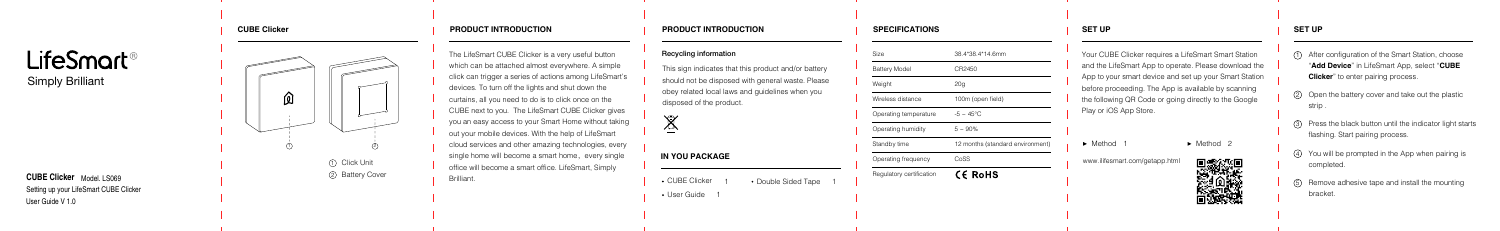## **SET UP**

Your CUBE Clicker requires a LifeSmart Smart Station and the LifeSmart App to operate. Please download the App to your smart device and set up your Smart Station before proceeding. The App is available by scanning the following QR Code or going directly to the Google Play or iOS App Store.

- Method ·
- 1 ► Method 2

www.ilifesmart.com/getapp.htm



LifeSmart<sup>。</sup> Simply Brilliant



- After configuration of the Smart Station, choose "**Add Device**" in LifeSmart App, select "**CUBE Clicker**" to enter pairing process. 1<br>143<br>143<br>153
- Open the battery cover and take out the plastic strip .
- Press the black button until the indicator light starts flashing. Start pairing process.
- You will be prompted in the App when pairing is completed.
- (5) Remove adhesive tape and install the mounting bracket.

**CUBE Clicker** Model. LS069 User Guide V 1.0 Setting up your LifeSmart CUBE Clicker